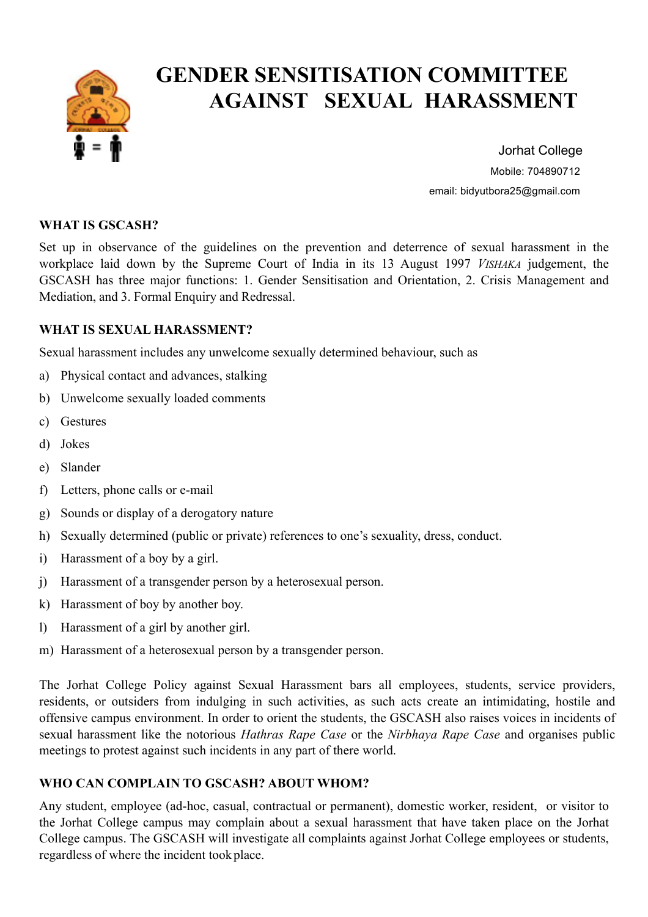

# **GENDER SENSITISATION COMMITTEE AGAINST SEXUAL HARASSMENT**

 Jorhat College Mobile: 704890712 email: bidyutbora25@gmail.com

#### **WHAT IS GSCASH?**

Set up in observance of the guidelines on the prevention and deterrence of sexual harassment in the workplace laid down by the Supreme Court of India in its 13 August 1997 *VISHAKA* judgement, the GSCASH has three major functions: 1. Gender Sensitisation and Orientation, 2. Crisis Management and Mediation, and 3. Formal Enquiry and Redressal.

#### **WHAT IS SEXUAL HARASSMENT?**

Sexual harassment includes any unwelcome sexually determined behaviour, such as

- a) Physical contact and advances, stalking
- b) Unwelcome sexually loaded comments
- c) Gestures
- d) Jokes
- e) Slander
- f) Letters, phone calls or e-mail
- g) Sounds or display of a derogatory nature
- h) Sexually determined (public or private) references to one's sexuality, dress, conduct.
- i) Harassment of a boy by a girl.
- j) Harassment of a transgender person by a heterosexual person.
- k) Harassment of boy by another boy.
- l) Harassment of a girl by another girl.
- m) Harassment of a heterosexual person by a transgender person.

The Jorhat College Policy against Sexual Harassment bars all employees, students, service providers, residents, or outsiders from indulging in such activities, as such acts create an intimidating, hostile and offensive campus environment. In order to orient the students, the GSCASH also raises voices in incidents of sexual harassment like the notorious *Hathras Rape Case* or the *Nirbhaya Rape Case* and organises public meetings to protest against such incidents in any part of there world.

### **WHO CAN COMPLAIN TO GSCASH? ABOUT WHOM?**

Any student, employee (ad-hoc, casual, contractual or permanent), domestic worker, resident, or visitor to the Jorhat College campus may complain about a sexual harassment that have taken place on the Jorhat College campus. The GSCASH will investigate all complaints against Jorhat College employees or students, regardless of where the incident tookplace.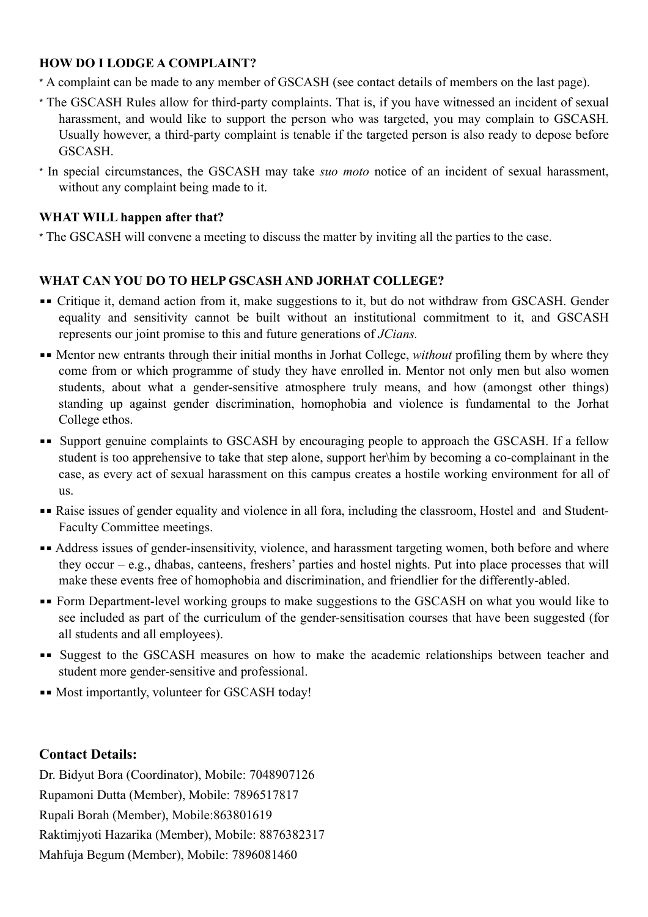## **HOW DO I LODGE A COMPLAINT?**

- \* A complaint can be made to any member of GSCASH (see contact details of members on the last page).
- \* The GSCASH Rules allow for third-party complaints. That is, if you have witnessed an incident of sexual harassment, and would like to support the person who was targeted, you may complain to GSCASH. Usually however, a third-party complaint is tenable if the targeted person is also ready to depose before **GSCASH**
- \* In special circumstances, the GSCASH may take *suo moto* notice of an incident of sexual harassment, without any complaint being made to it.

#### **WHAT WILL happen after that?**

\* The GSCASH will convene a meeting to discuss the matter by inviting all the parties to the case.

## **WHAT CAN YOU DO TO HELP GSCASH AND JORHAT COLLEGE?**

- **•** Critique it, demand action from it, make suggestions to it, but do not withdraw from GSCASH. Gender equality and sensitivity cannot be built without an institutional commitment to it, and GSCASH represents our joint promise to this and future generations of *JCians.*
- ■■ Mentor new entrants through their initial months in Jorhat College, *without* profiling them by where they come from or which programme of study they have enrolled in. Mentor not only men but also women students, about what a gender-sensitive atmosphere truly means, and how (amongst other things) standing up against gender discrimination, homophobia and violence is fundamental to the Jorhat College ethos.
- **EXECUTE:** Support genuine complaints to GSCASH by encouraging people to approach the GSCASH. If a fellow student is too apprehensive to take that step alone, support her\him by becoming a co-complainant in the case, as every act of sexual harassment on this campus creates a hostile working environment for all of us.
- ▪▪ Raise issues of gender equality and violence in all fora, including the classroom, Hostel and and Student-Faculty Committee meetings.
- **Example 3** Address issues of gender-insensitivity, violence, and harassment targeting women, both before and where they occur – e.g., dhabas, canteens, freshers' parties and hostel nights. Put into place processes that will make these events free of homophobia and discrimination, and friendlier for the differently-abled.
- **••** Form Department-level working groups to make suggestions to the GSCASH on what you would like to see included as part of the curriculum of the gender-sensitisation courses that have been suggested (for all students and all employees).
- **Example 5** Suggest to the GSCASH measures on how to make the academic relationships between teacher and student more gender-sensitive and professional.
- ▪▪ Most importantly, volunteer for GSCASH today!

### **Contact Details:**

Dr. Bidyut Bora (Coordinator), Mobile: 7048907126 Rupamoni Dutta (Member), Mobile: 7896517817 Rupali Borah (Member), Mobile:863801619 Raktimjyoti Hazarika (Member), Mobile: 8876382317 Mahfuja Begum (Member), Mobile: 7896081460